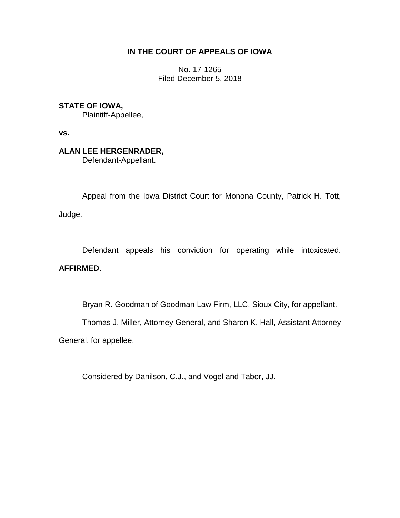# **IN THE COURT OF APPEALS OF IOWA**

No. 17-1265 Filed December 5, 2018

## **STATE OF IOWA,**

Plaintiff-Appellee,

**vs.**

# **ALAN LEE HERGENRADER,**

Defendant-Appellant.

Appeal from the Iowa District Court for Monona County, Patrick H. Tott, Judge.

\_\_\_\_\_\_\_\_\_\_\_\_\_\_\_\_\_\_\_\_\_\_\_\_\_\_\_\_\_\_\_\_\_\_\_\_\_\_\_\_\_\_\_\_\_\_\_\_\_\_\_\_\_\_\_\_\_\_\_\_\_\_\_\_

Defendant appeals his conviction for operating while intoxicated. **AFFIRMED**.

Bryan R. Goodman of Goodman Law Firm, LLC, Sioux City, for appellant.

Thomas J. Miller, Attorney General, and Sharon K. Hall, Assistant Attorney

General, for appellee.

Considered by Danilson, C.J., and Vogel and Tabor, JJ.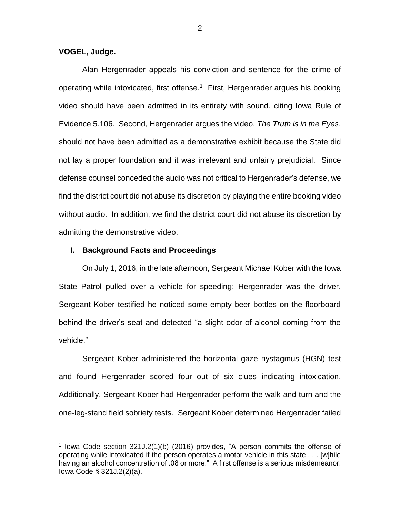### **VOGEL, Judge.**

 $\overline{a}$ 

Alan Hergenrader appeals his conviction and sentence for the crime of operating while intoxicated, first offense.<sup>1</sup> First, Hergenrader argues his booking video should have been admitted in its entirety with sound, citing Iowa Rule of Evidence 5.106. Second, Hergenrader argues the video, *The Truth is in the Eyes*, should not have been admitted as a demonstrative exhibit because the State did not lay a proper foundation and it was irrelevant and unfairly prejudicial. Since defense counsel conceded the audio was not critical to Hergenrader's defense, we find the district court did not abuse its discretion by playing the entire booking video without audio. In addition, we find the district court did not abuse its discretion by admitting the demonstrative video.

## **I. Background Facts and Proceedings**

On July 1, 2016, in the late afternoon, Sergeant Michael Kober with the Iowa State Patrol pulled over a vehicle for speeding; Hergenrader was the driver. Sergeant Kober testified he noticed some empty beer bottles on the floorboard behind the driver's seat and detected "a slight odor of alcohol coming from the vehicle."

Sergeant Kober administered the horizontal gaze nystagmus (HGN) test and found Hergenrader scored four out of six clues indicating intoxication. Additionally, Sergeant Kober had Hergenrader perform the walk-and-turn and the one-leg-stand field sobriety tests. Sergeant Kober determined Hergenrader failed

<sup>&</sup>lt;sup>1</sup> lowa Code section 321J.2(1)(b) (2016) provides, "A person commits the offense of operating while intoxicated if the person operates a motor vehicle in this state . . . [w]hile having an alcohol concentration of .08 or more." A first offense is a serious misdemeanor. Iowa Code § 321J.2(2)(a).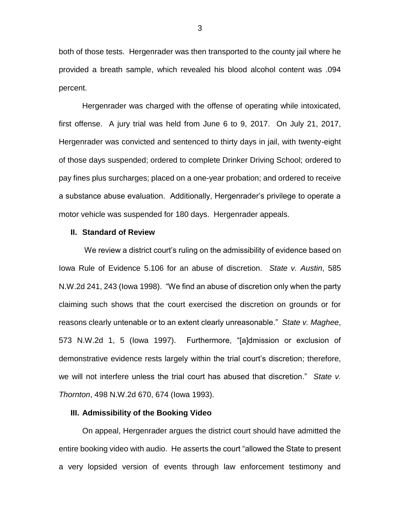both of those tests. Hergenrader was then transported to the county jail where he provided a breath sample, which revealed his blood alcohol content was .094 percent.

Hergenrader was charged with the offense of operating while intoxicated, first offense. A jury trial was held from June 6 to 9, 2017. On July 21, 2017, Hergenrader was convicted and sentenced to thirty days in jail, with twenty-eight of those days suspended; ordered to complete Drinker Driving School; ordered to pay fines plus surcharges; placed on a one-year probation; and ordered to receive a substance abuse evaluation. Additionally, Hergenrader's privilege to operate a motor vehicle was suspended for 180 days. Hergenrader appeals.

#### **II. Standard of Review**

We review a district court's ruling on the admissibility of evidence based on Iowa Rule of Evidence 5.106 for an abuse of discretion. *State v. Austin*, 585 N.W.2d 241, 243 (Iowa 1998). "We find an abuse of discretion only when the party claiming such shows that the court exercised the discretion on grounds or for reasons clearly untenable or to an extent clearly unreasonable." *State v. Maghee*, 573 N.W.2d 1, 5 (Iowa 1997). Furthermore, "[a]dmission or exclusion of demonstrative evidence rests largely within the trial court's discretion; therefore, we will not interfere unless the trial court has abused that discretion." *State v. Thornton*, 498 N.W.2d 670, 674 (Iowa 1993).

## **III. Admissibility of the Booking Video**

On appeal, Hergenrader argues the district court should have admitted the entire booking video with audio. He asserts the court "allowed the State to present a very lopsided version of events through law enforcement testimony and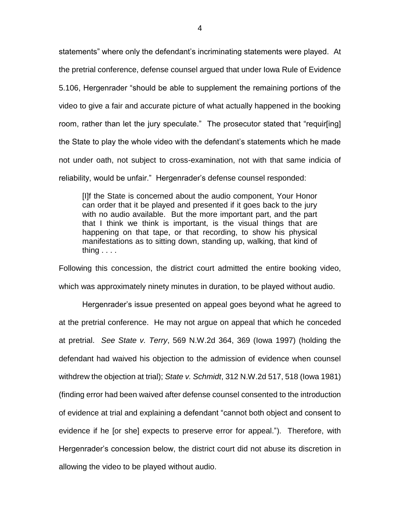statements" where only the defendant's incriminating statements were played. At the pretrial conference, defense counsel argued that under Iowa Rule of Evidence 5.106, Hergenrader "should be able to supplement the remaining portions of the video to give a fair and accurate picture of what actually happened in the booking room, rather than let the jury speculate." The prosecutor stated that "requir[ing] the State to play the whole video with the defendant's statements which he made not under oath, not subject to cross-examination, not with that same indicia of reliability, would be unfair." Hergenrader's defense counsel responded:

[I]f the State is concerned about the audio component, Your Honor can order that it be played and presented if it goes back to the jury with no audio available. But the more important part, and the part that I think we think is important, is the visual things that are happening on that tape, or that recording, to show his physical manifestations as to sitting down, standing up, walking, that kind of thing . . . .

Following this concession, the district court admitted the entire booking video, which was approximately ninety minutes in duration, to be played without audio.

Hergenrader's issue presented on appeal goes beyond what he agreed to at the pretrial conference. He may not argue on appeal that which he conceded at pretrial. *See State v. Terry*, 569 N.W.2d 364, 369 (Iowa 1997) (holding the defendant had waived his objection to the admission of evidence when counsel withdrew the objection at trial); *State v. Schmidt*, 312 N.W.2d 517, 518 (Iowa 1981) (finding error had been waived after defense counsel consented to the introduction of evidence at trial and explaining a defendant "cannot both object and consent to evidence if he [or she] expects to preserve error for appeal."). Therefore, with Hergenrader's concession below, the district court did not abuse its discretion in allowing the video to be played without audio.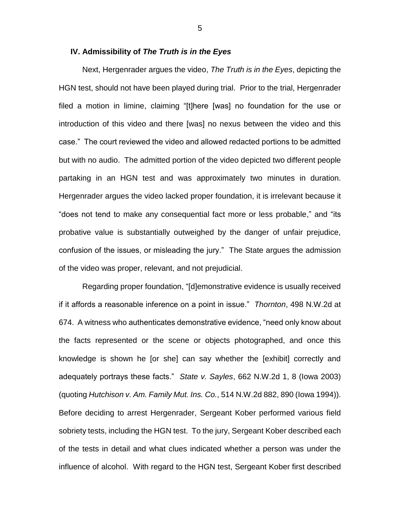#### **IV. Admissibility of** *The Truth is in the Eyes*

Next, Hergenrader argues the video, *The Truth is in the Eyes*, depicting the HGN test, should not have been played during trial. Prior to the trial, Hergenrader filed a motion in limine, claiming "[t]here [was] no foundation for the use or introduction of this video and there [was] no nexus between the video and this case." The court reviewed the video and allowed redacted portions to be admitted but with no audio. The admitted portion of the video depicted two different people partaking in an HGN test and was approximately two minutes in duration. Hergenrader argues the video lacked proper foundation, it is irrelevant because it "does not tend to make any consequential fact more or less probable," and "its probative value is substantially outweighed by the danger of unfair prejudice, confusion of the issues, or misleading the jury." The State argues the admission of the video was proper, relevant, and not prejudicial.

Regarding proper foundation, "[d]emonstrative evidence is usually received if it affords a reasonable inference on a point in issue." *Thornton*, 498 N.W.2d at 674. A witness who authenticates demonstrative evidence, "need only know about the facts represented or the scene or objects photographed, and once this knowledge is shown he [or she] can say whether the [exhibit] correctly and adequately portrays these facts." *State v. Sayles*, 662 N.W.2d 1, 8 (Iowa 2003) (quoting *Hutchison v. Am. Family Mut. Ins. Co.*, 514 N.W.2d 882, 890 (Iowa 1994)). Before deciding to arrest Hergenrader, Sergeant Kober performed various field sobriety tests, including the HGN test. To the jury, Sergeant Kober described each of the tests in detail and what clues indicated whether a person was under the influence of alcohol. With regard to the HGN test, Sergeant Kober first described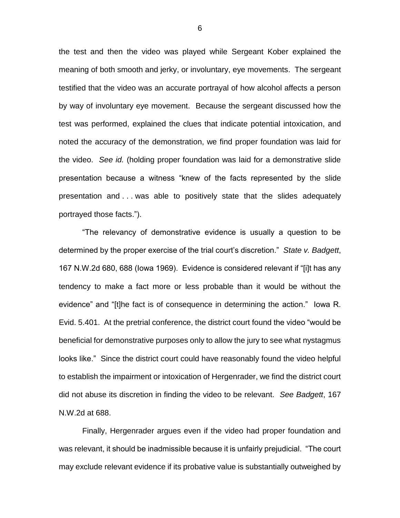the test and then the video was played while Sergeant Kober explained the meaning of both smooth and jerky, or involuntary, eye movements. The sergeant testified that the video was an accurate portrayal of how alcohol affects a person by way of involuntary eye movement. Because the sergeant discussed how the test was performed, explained the clues that indicate potential intoxication, and noted the accuracy of the demonstration, we find proper foundation was laid for the video. *See id.* (holding proper foundation was laid for a demonstrative slide presentation because a witness "knew of the facts represented by the slide presentation and . . . was able to positively state that the slides adequately portrayed those facts.").

"The relevancy of demonstrative evidence is usually a question to be determined by the proper exercise of the trial court's discretion." *State v. Badgett*, 167 N.W.2d 680, 688 (Iowa 1969). Evidence is considered relevant if "[i]t has any tendency to make a fact more or less probable than it would be without the evidence" and "[t]he fact is of consequence in determining the action." Iowa R. Evid. 5.401. At the pretrial conference, the district court found the video "would be beneficial for demonstrative purposes only to allow the jury to see what nystagmus looks like." Since the district court could have reasonably found the video helpful to establish the impairment or intoxication of Hergenrader, we find the district court did not abuse its discretion in finding the video to be relevant. *See Badgett*, 167 N.W.2d at 688.

Finally, Hergenrader argues even if the video had proper foundation and was relevant, it should be inadmissible because it is unfairly prejudicial. "The court may exclude relevant evidence if its probative value is substantially outweighed by

6